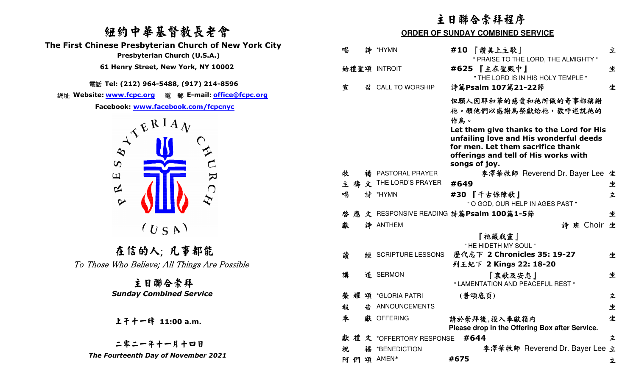#### 紐約中華基督教長老會 **The First Chinese Presbyterian Church of New York City Presbyterian Church (U.S.A.) 61 Henry Street, New York, NY 10002**



|                                                                                                        | 主日聯合崇拜程序<br><b>ORDER OF SUNDAY COMBINED SERVICE</b> |                                                                                                                                                                                         |   |
|--------------------------------------------------------------------------------------------------------|-----------------------------------------------------|-----------------------------------------------------------------------------------------------------------------------------------------------------------------------------------------|---|
| 纽约中華基督教長老會                                                                                             |                                                     |                                                                                                                                                                                         |   |
| The First Chinese Presbyterian Church of New York City<br>Presbyterian Church (U.S.A.)                 | 唱<br>詩<br>*HYMN                                     | #10 『讚美上主歌』<br>" PRAISE TO THE LORD, THE ALMIGHTY "                                                                                                                                     | 立 |
| 61 Henry Street, New York, NY 10002                                                                    | 始禮聖頌 INTROIT                                        | #625 『主在聖殿中』<br>" THE LORD IS IN HIS HOLY TEMPLE "                                                                                                                                      | 坐 |
| 電話 Tel: (212) 964-5488, (917) 214-8596                                                                 | 宣<br><b>CALL TO WORSHIP</b><br>召                    | 詩篇Psalm 107篇21-22節                                                                                                                                                                      | 坐 |
| 網址 Website: www.fcpc.org 電 郵 E-mail: office@fcpc.org<br>Facebook: www.facebook.com/fcpcnyc             |                                                     | 但願人因耶和華的慈愛和祂所做的奇事都稱謝<br>祂。願他們以感謝為祭獻給祂,歡呼述説祂的                                                                                                                                            |   |
| $\lambda^{\mathcal{R}}$ $\stackrel{\text{RIA}}{\leftarrow}$<br>$\infty$<br>یم<br>$\boldsymbol{\omega}$ |                                                     | 作為。<br>Let them give thanks to the Lord for His<br>unfailing love and His wonderful deeds<br>for men. Let them sacrifice thank<br>offerings and tell of His works with<br>songs of joy. |   |
| $\mathbf k$<br>$\mathbf \Xi$                                                                           | 牧<br>PASTORAL PRAYER<br>禱                           | 李澤華牧師 Reverend Dr. Bayer Lee 坐                                                                                                                                                          |   |
| ⊄<br>$\bigcap$                                                                                         | THE LORD'S PRAYER<br>文<br>禱<br>主                    | #649                                                                                                                                                                                    | 坐 |
| $\boldsymbol{\triangledown}$                                                                           | 詩<br>唱<br>*HYMN                                     | #30 『千古保障歌』<br>" O GOD, OUR HELP IN AGES PAST "                                                                                                                                         | 立 |
|                                                                                                        | 啓                                                   | 文 RESPONSIVE READING 詩篇Psalm 100篇1-5節                                                                                                                                                   | 坐 |
| $(U_S A)$                                                                                              | 詩 ANTHEM<br>獻                                       | 詩班 Choir 坐<br>『祂藏我靈』                                                                                                                                                                    |   |
| 在信的人; 凡事都能                                                                                             |                                                     | " HE HIDETH MY SOUL "                                                                                                                                                                   |   |
| To Those Who Believe; All Things Are Possible                                                          | 讀<br><b>SCRIPTURE LESSONS</b><br>經                  | 歷代志下 2 Chronicles 35: 19-27<br>列王紀下 2 Kings 22: 18-20                                                                                                                                   | 坐 |
| 主日聯合崇拜                                                                                                 | 講<br>道 SERMON                                       | 『哀歌及安息』<br>" LAMENTATION AND PEACEFUL REST "                                                                                                                                            | 坐 |
| <b>Sunday Combined Service</b>                                                                         | 举                                                   | (普頌底頁)                                                                                                                                                                                  | 立 |
|                                                                                                        | 告 ANNOUNCEMENTS<br>報                                |                                                                                                                                                                                         | 坐 |
| 上子十一時 11:00 a.m.                                                                                       | 奉<br>獻 OFFERING                                     | 請於崇拜後,投入奉獻箱内<br>Please drop in the Offering Box after Service.                                                                                                                          | 坐 |
|                                                                                                        | 文 *OFFERTORY RESPONSE #644<br>禮                     |                                                                                                                                                                                         | 立 |
| 二零二一年十一月十四日                                                                                            | 福 *BENEDICTION<br>祝                                 | 李澤華牧師 Reverend Dr. Bayer Lee 立                                                                                                                                                          |   |
| The Fourteenth Day of November 2021                                                                    | 阿 們 頌 AMEN*                                         | #675                                                                                                                                                                                    | 立 |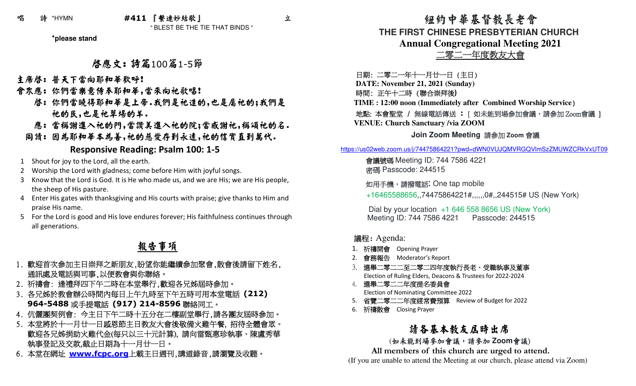### 唱 詩 \*HYMN **#411** 『繫連妙結歌』

" BLEST BE THE TIE THAT BINDS "

**\*please stand**

## 啟應文: 詩篇<sup>100</sup>篇1-5節

主席啓: 普天下當向耶和華歡呼!

- 會眾應: 你們當樂意侍奉耶和華,當來向祂歌唱!
- 啟: 你們當曉得耶和華是上帝.我們是祂造的,也是屬祂的;我們是 祂的民,也是祂草場的羊.
- 應: 當稱謝進入祂的門,當讚美進入祂的院;當感謝祂,稱頌祂的名.

同讀: 因為耶和華本為善,祂的慈愛存到永遠,祂的信實直到萬代.

#### **Responsive Reading: Psalm 100: 1-5**

- 1 Shout for joy to the Lord, all the earth.
- 2 Worship the Lord with gladness; come before Him with joyful songs.
- 3 Know that the Lord is God. It is He who made us, and we are His; we are His people, the sheep of His pasture.
- 4 Enter His gates with thanksgiving and His courts with praise; give thanks to Him and praise His name.
- 5 For the Lord is good and His love endures forever; His faithfulness continues through all generations.

## 報告事項

- 1. 歡迎首次參加主日崇拜之新朋友,盼望你能繼續參加聚會,散會後請留下姓名, 通訊處及電話與司事,以便教會與你聯絡。
- 2. 祈禱會: 逢禮拜四下午二時在本堂舉行,歡迎各兄姊屆時參加。
- 3. 各兄姊於教會辦公時間內每日上午九時至下午五時可用本堂電話 **(212) 964-5488**或手提電話 **(917) 214-8596**聯絡同工。
- 4. 伉儷團契例會: 今主日下午二時十五分在二樓副堂舉行,請各團友屆時參加。
- 5. 本堂將於十一月廿一日感恩節主日教友大會後敬備火雞午餐, 招待全體會眾。 歡迎各兄姊捐助火雞代金(每只以三十元計算), 請向雷甄惠珍執事、陳盧秀華 執事登記及交款,截止日期為十一月廿一日。
- 6. 本堂在網址 **www.fcpc.org** 上載主日週刊,講道錄音,請瀏覽及收聽。

 紐約中華基督教長老會**THE FIRST CHINESE PRESBYTERIAN CHURCHAnnual Congregational Meeting 2021**二零二一年度教友大會

日期: 二零二一年十一月廿一日 (主日)

**DATE: November 21, 2021 (Sunday)** 

時間: 正午十二時 (聯合崇拜後**)**

**TIME : 12:00 noon (Immediately after Combined Worship Service**)

#### 地點: 本會聖堂 / 無線電話傳送 **:** [ 如未能到場參加會議,請參加Zoom 會議 ] **VENUE: Church Sanctuary /via ZOOM**

# **Join Zoom Meeting** 請參加 **Zoom**  會議

https://us02web.zoom.us/j/74475864221?pwd=dWN0VUJQMVRGQVlmSzZMUWZCRkVxUT09

會議號碼 Meeting ID: 744 7586 4221<br>※严 Passeede: 244515 密碼 Passcode: 244515

如用手機,請撥電話**:** One tap mobile

+16465588656,,74475864221#,,,,,,0#,,244515# US (New York)

Dial by your location +1 646 558 8656 US (New York)Meeting ID: 744 7586 4221 Passcode: 244515

#### 議程: Agenda:

- 1. 祈禱開會 Opening Prayer<br>2. <del>命欢帮生</del> Mederater′c Pe
- 2. 會務報告 Moderator's Report<br><sup>2. 連盟</sup>三震二三云三震二四左魔
- 3. 選舉二零二二至二零二四年度執行長老、受職執事及董事 Election of Ruling Elders, Deacons & Trustees for 2022-2024
- 4.選舉二零二二年度提名委員會Election of Nominating Committee 2022
- 5.省覽二零二二年度經常費預算 Review of Budget for 2022
- 6. 祈禱散會 Closing Prayer<br>

### 請各基本教友屆時出席

# (如未能到場參加會議,請參加 **Zoom會**議)<br>sambore of this aburab are urged to at

**All members of this church are urged to attend.** (If you are unable to attend the Meeting at our church, please attend via Zoom)

立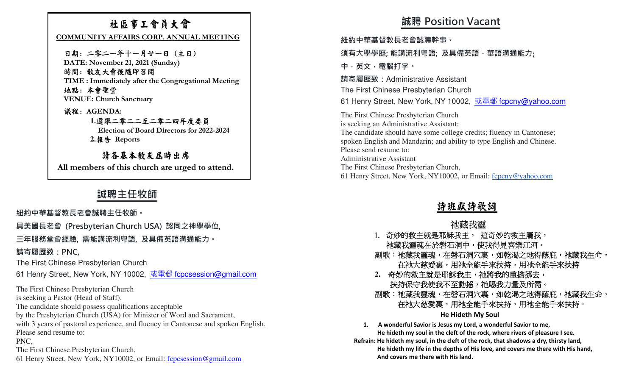### 社區事工會員大會

 **COMMUNITY AFFAIRS CORP. ANNUAL MEETING** 

日期: 二零二一年十一月廿一日 (主日) **DATE: November 21, 2021 (Sunday)**

時間: 教友大會後隨即召開**TIME : Immediately after the Congregational Meeting**

地點: 本會聖堂**VENUE: Church Sanctuary** 

議程: **AGENDA:** 

 **1.**選舉二零二二至二零二四年度委員

**Election of Board Directors for 2022-2024** 

**2.**報告 **Reports** 

請各基本教友屆時出席 **All members of this church are urged to attend.** 

### **誠聘主任牧師**

**紐約中華基督教⻑老會誠聘主任牧師。** 

**具美國⻑老會 (Presbyterian Church USA) 認同之神學學位,** 

**三年服務堂會經驗, 需能講流利粵語, 及具備英語溝通能力。** 

**請寄履歷致:PNC,**

The First Chinese Presbyterian Church

61 Henry Street, New York, NY 10002, <u>或電郵 f<mark>cpcsession@gmail.com</mark></u>

The First Chinese Presbyterian Church is seeking a Pastor (Head of Staff). The candidate should possess qualifications acceptable by the Presbyterian Church (USA) for Minister of Word and Sacrament, with 3 years of pastoral experience, and fluency in Cantonese and spoken English.Please send resume to: PNC, The First Chinese Presbyterian Church,61 Henry Street, New York, NY10002, or Email: forestration@gmail.com

## **誠聘 Position Vacant**

**紐約中華基督教⻑老會誠聘幹事。** 

**須有大學學歷; 能講流利粵語; 及具備英語,華語溝通能力**;

**中,英文,電腦打字。**

**請寄履歷致:**Administrative AssistantThe First Chinese Presbyterian Church61 Henry Street, New York, NY 10002, <u>或電郵 f<mark>cpcny@yahoo.com</mark></u>

The First Chinese Presbyterian Church is seeking an Administrative Assistant:The candidate should have some college credits; fluency in Cantonese; spoken English and Mandarin; and ability to type English and Chinese.Please send resume to: Administrative Assistant The First Chinese Presbyterian Church,61 Henry Street, New York, NY10002, or Email: fcpcny@yahoo.com

#### 詩班獻詩歌詞

#### 祂藏我靈

- 1. 奇妙的救主就是耶穌我主, 這奇妙的救主屬我,
- ー 祂藏我靈魂在於磐石洞中,使我得見喜樂江河。<br>副歌:祂藏我靈魂,在磐石洞穴裏,如乾渴之地得蔭庇,祂藏我生命,<br>在祂大慈愛裏,用祂全能手來扶持,用祂全能手來扶持
- 
- 2. 奇妙的救主就是耶穌我主,祂將我的重擔挪去,<br> 扶持保守我使我不至動摇,祂賜我力量及所需。<br>副歌:祂藏我靈魂,在磐石洞穴裏,如乾渴之地得蔭庇,祂藏我生命,<br> 在祂大慈愛裏,用祂全能手來扶持,用祂全能手來扶持。

#### **He Hideth My Soul**

**1. A wonderful Savior is Jesus my Lord, a wonderful Savior to me, He hideth my soul in the cleft of the rock, where rivers of pleasure I see. Refrain: He hideth my soul, in the cleft of the rock, that shadows a dry, thirsty land, He hideth my life in the depths of His love, and covers me there with His hand, And covers me there with His land.**